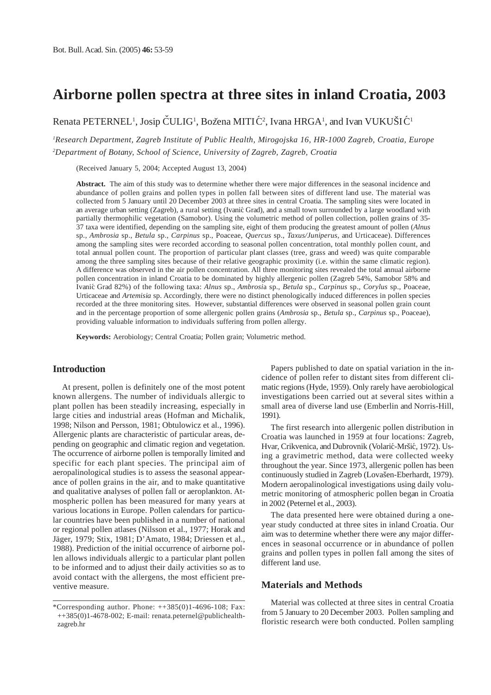## **Airborne pollen spectra at three sites in inland Croatia, 2003**

Renata PETERNEL<sup>1</sup>, Josip ČULIG<sup>1</sup>, Božena MITIĆ<sup>2</sup>, Ivana HRGA<sup>1</sup>, and Ivan VUKUŠIĆ<sup>1</sup>

*1 Research Department, Zagreb Institute of Public Health, Mirogojska 16, HR-1000 Zagreb, Croatia, Europe 2 Department of Botany, School of Science, University of Zagreb, Zagreb, Croatia*

(Received January 5, 2004; Accepted August 13, 2004)

**Abstract.** The aim of this study was to determine whether there were major differences in the seasonal incidence and abundance of pollen grains and pollen types in pollen fall between sites of different land use. The material was collected from 5 January until 20 December 2003 at three sites in central Croatia. The sampling sites were located in an average urban setting (Zagreb), a rural setting (Ivanić Grad), and a small town surrounded by a large woodland with partially thermophilic vegetation (Samobor). Using the volumetric method of pollen collection, pollen grains of 35- 37 taxa were identified, depending on the sampling site, eight of them producing the greatest amount of pollen (*Alnus* sp., *Ambrosia* sp., *Betula* sp., *Carpinus* sp., Poaceae, *Quercus* sp., *Taxus/Juniperus*, and Urticaceae). Differences among the sampling sites were recorded according to seasonal pollen concentration, total monthly pollen count, and total annual pollen count. The proportion of particular plant classes (tree, grass and weed) was quite comparable among the three sampling sites because of their relative geographic proximity (i.e. within the same climatic region). A difference was observed in the air pollen concentration. All three monitoring sites revealed the total annual airborne pollen concentration in inland Croatia to be dominated by highly allergenic pollen (Zagreb 54%, Samobor 58% and Ivani´c Grad 82%) of the following taxa: *Alnus* sp., *Ambrosi*a sp., *Betula* sp., *Carpinus* sp., *Corylus* sp., Poaceae, Urticaceae and *Artemisia* sp. Accordingly, there were no distinct phenologically induced differences in pollen species recorded at the three monitoring sites. However, substantial differences were observed in seasonal pollen grain count and in the percentage proportion of some allergenic pollen grains (*Ambrosia* sp., *Betula* sp., *Carpinus* sp., Poaceae), providing valuable information to individuals suffering from pollen allergy.

**Keywords:** Aerobiology; Central Croatia; Pollen grain; Volumetric method.

### **Introduction**

At present, pollen is definitely one of the most potent known allergens. The number of individuals allergic to plant pollen has been steadily increasing, especially in large cities and industrial areas (Hofman and Michalik, 1998; Nilson and Persson, 1981; Obtulowicz et al., 1996). Allergenic plants are characteristic of particular areas, depending on geographic and climatic region and vegetation. The occurrence of airborne pollen is temporally limited and specific for each plant species. The principal aim of aeropalinological studies is to assess the seasonal appearance of pollen grains in the air, and to make quantitative and qualitative analyses of pollen fall or aeroplankton. Atmospheric pollen has been measured for many years at various locations in Europe. Pollen calendars for particular countries have been published in a number of national or regional pollen atlases (Nilsson et al., 1977; Horak and Jäger, 1979; Stix, 1981; D'Amato, 1984; Driessen et al., 1988). Prediction of the initial occurrence of airborne pollen allows individuals allergic to a particular plant pollen to be informed and to adjust their daily activities so as to avoid contact with the allergens, the most efficient preventive measure.

Papers published to date on spatial variation in the incidence of pollen refer to distant sites from different climatic regions (Hyde, 1959). Only rarely have aerobiological investigations been carried out at several sites within a small area of diverse land use (Emberlin and Norris-Hill, 1991).

The first research into allergenic pollen distribution in Croatia was launched in 1959 at four locations: Zagreb, Hvar, Crikvenica, and Dubrovnik (Volarić-Mršić, 1972). Using a gravimetric method, data were collected weeky throughout the year. Since 1973, allergenic pollen has been continuously studied in Zagreb (Lovašen-Eberhardt, 1979). Modern aeropalinological investigations using daily volumetric monitoring of atmospheric pollen began in Croatia in 2002 (Peternel et al., 2003).

The data presented here were obtained during a oneyear study conducted at three sites in inland Croatia. Our aim was to determine whether there were any major differences in seasonal occurrence or in abundance of pollen grains and pollen types in pollen fall among the sites of different land use.

#### **Materials and Methods**

Material was collected at three sites in central Croatia from 5 January to 20 December 2003. Pollen sampling and floristic research were both conducted. Pollen sampling

<sup>\*</sup>Corresponding author. Phone:  $++385(0)1-4696-108$ ; Fax: ++385(0)1-4678-002; E-mail: renata.peternel@publichealthzagreb.hr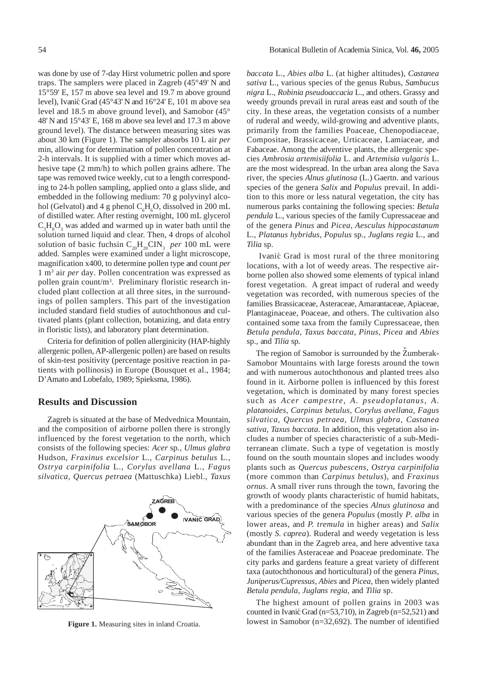was done by use of 7-day Hirst volumetric pollen and spore traps. The samplers were placed in Zagreb (45°49' N and 15°59' E, 157 m above sea level and 19.7 m above ground level), Ivanić Grad (45°43' N and  $16^{\circ}24'$  E, 101 m above sea level and 18.5 m above ground level), and Samobor (45° 48' N and 15°43' E, 168 m above sea level and 17.3 m above ground level). The distance between measuring sites was about 30 km (Figure 1). The sampler absorbs 10 L air *per* min, allowing for determination of pollen concentration at 2-h intervals. It is supplied with a timer which moves adhesive tape (2 mm/h) to which pollen grains adhere. The tape was removed twice weekly, cut to a length corresponding to 24-h pollen sampling, applied onto a glass slide, and embedded in the following medium: 70 g polyvinyl alcohol (Gelvatol) and 4 g phenol  $C_6H_6O$ , dissolved in 200 mL of distilled water. After resting overnight, 100 mL glycerol  $C_3H_8O_3$  was added and warmed up in water bath until the solution turned liquid and clear. Then, 4 drops of alcohol solution of basic fuchsin  $C_{20}H_{20}CIN_3$  *per* 100 mL were added. Samples were examined under a light microscope, magnification x400, to determine pollen type and count *per* 1 m3 air *per* day. Pollen concentration was expressed as pollen grain count/m3 . Preliminary floristic research included plant collection at all three sites, in the surroundings of pollen samplers. This part of the investigation included standard field studies of autochthonous and cultivated plants (plant collection, botanizing, and data entry in floristic lists), and laboratory plant determination.

Criteria for definition of pollen allerginicity (HAP-highly allergenic pollen, AP-allergenic pollen) are based on results of skin-test positivity (percentage positive reaction in patients with pollinosis) in Europe (Bousquet et al., 1984; D'Amato and Lobefalo, 1989; Spieksma, 1986).

### **Results and Discussion**

Zagreb is situated at the base of Medvednica Mountain, and the composition of airborne pollen there is strongly influenced by the forest vegetation to the north, which consists of the following species: *Acer* sp*.*, *Ulmus glabra* Hudson, *Fraxinus excelsior* L., *Carpinus betulus* L., *Ostrya carpinifolia* L., *Corylus avellana* L., *Fagus silvatica, Quercus petraea* (Mattuschka) Liebl., *Taxus*



**Figure 1.** Measuring sites in inland Croatia.

*baccata* L., *Abies alba* L. (at higher altitudes), *Castanea sativa* L., various species of the genus Rubus, *Sambucus nigra* L., *Robinia pseudoaccacia* L., and others. Grassy and weedy grounds prevail in rural areas east and south of the city. In these areas, the vegetation consists of a number of ruderal and weedy, wild-growing and adventive plants, primarily from the families Poaceae, Chenopodiaceae, Compositae, Brassicaceae, Urticaceae, Lamiaceae, and Fabaceae. Among the adventive plants, the allergenic species *Ambrosia artemisiifolia* L. and *Artemisia vulgaris* L. are the most widespread. In the urban area along the Sava river, the species *Alnus glutinosa* (L.) Gaertn. and various species of the genera *Salix* and *Populus* prevail. In addition to this more or less natural vegetation, the city has numerous parks containing the following species: *Betula pendula* L., various species of the family Cupressaceae and of the genera *Pinus* and *Picea, Aesculus hippocastanum* L., *Platanus hybridus, Populus* sp., *Juglans regia* L., and *Tilia* sp.

Ivanić Grad is most rural of the three monitoring locations, with a lot of weedy areas. The respective airborne pollen also showed some elements of typical inland forest vegetation. A great impact of ruderal and weedy vegetation was recorded, with numerous species of the families Brassicaceae, Asteraceae, Amarantaceae, Apiaceae, Plantaginaceae, Poaceae, and others. The cultivation also contained some taxa from the family Cupressaceae, then *Betula pendula, Taxus baccata, Pinus, Picea* and *Abies* sp., and *Tilia* sp*.*

ˆ

The region of Samobor is surrounded by the Zumberak-Samobor Mountains with large forests around the town and with numerous autochthonous and planted trees also found in it. Airborne pollen is influenced by this forest vegetation, which is dominated by many forest species such as *Acer campestre, A. pseudoplatanus, A. platanoides, Carpinus betulus, Corylus avellana, Fagus silvatica, Quercus petraea, Ulmus glabra, Castanea sativa, Taxus baccata*. In addition, this vegetation also includes a number of species characteristic of a sub-Mediterranean climate. Such a type of vegetation is mostly found on the south mountain slopes and includes woody plants such as *Quercus pubescens, Ostrya carpinifolia* (more common than *Carpinus betulus*), and *Fraxinus ornus*. A small river runs through the town, favoring the growth of woody plants characteristic of humid habitats, with a predominance of the species *Alnus glutinosa* and various species of the genera *Populus* (mostly *P. alba* in lower areas, and *P. tremula* in higher areas) and *Salix* (mostly *S. caprea*). Ruderal and weedy vegetation is less abundant than in the Zagreb area, and here adventive taxa of the families Asteraceae and Poaceae predominate. The city parks and gardens feature a great variety of different taxa (autochthonous and horticultural) of the genera *Pinus, Juniperus/Cupressus, Abies* and *Picea*, then widely planted *Betula pendula, Juglans regia*, and *Tilia* sp.

The highest amount of pollen grains in 2003 was counted in Ivanić Grad (n=53,710), in Zagreb (n=52,521) and lowest in Samobor (n=32,692). The number of identified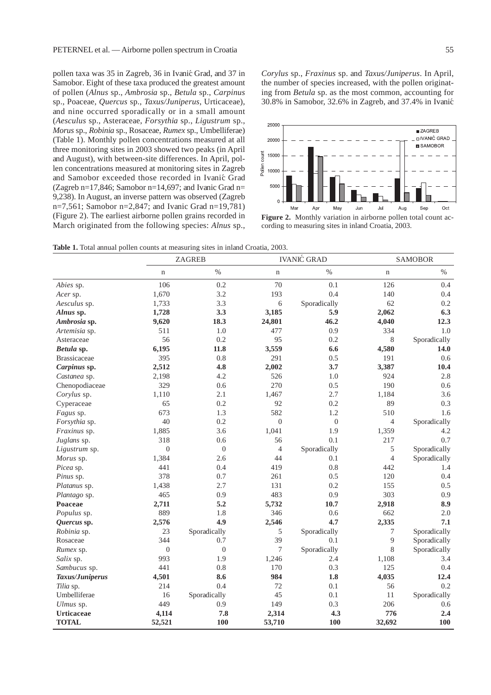pollen taxa was 35 in Zagreb, 36 in Ivanić Grad, and 37 in Samobor. Eight of these taxa produced the greatest amount of pollen (*Alnus* sp., *Ambrosia* sp., *Betula* sp., *Carpinus* sp., Poaceae, *Quercus* sp., *Taxus/Juniperus*, Urticaceae), and nine occurred sporadically or in a small amount (*Aesculus* sp., Asteraceae, *Forsythia* sp., *Ligustrum* sp., *Morus* sp., *Robinia* sp., Rosaceae, *Rumex* sp., Umbelliferae) (Table 1). Monthly pollen concentrations measured at all three monitoring sites in 2003 showed two peaks (in April and August), with between-site differences. In April, pollen concentrations measured at monitoring sites in Zagreb and Samobor exceeded those recorded in Ivanić Grad (Zagreb n=17,846; Samobor n=14,697; and Ivanic Grad n= 9,238). In August, an inverse pattern was observed (Zagreb n=7,561; Samobor n=2,847; and Ivanic Grad n=19,781) (Figure 2). The earliest airborne pollen grains recorded in March originated from the following species: *Alnus* sp.,



**Figure 2.** Monthly variation in airborne pollen total count according to measuring sites in inland Croatia, 2003.

Table 1. Total annual pollen counts at measuring sites in inland Croatia, 2003.

|                     |                | <b>ZAGREB</b>  |                | <b>IVANIĆ GRAD</b> |                | <b>SAMOBOR</b> |
|---------------------|----------------|----------------|----------------|--------------------|----------------|----------------|
|                     | $\mathbf n$    | $\%$           | $\mathbf n$    | $\%$               | $\mathbf n$    | $\%$           |
| Abies sp.           | 106            | 0.2            | 70             | 0.1                | 126            | 0.4            |
| Acer sp.            | 1,670          | 3.2            | 193            | 0.4                | 140            | 0.4            |
| Aesculus sp.        | 1,733          | 3.3            | 6              | Sporadically       | 62             | 0.2            |
| Alnus sp.           | 1,728          | 3.3            | 3,185          | 5.9                | 2,062          | 6.3            |
| Ambrosia sp.        | 9,620          | 18.3           | 24,801         | 46.2               | 4,040          | 12.3           |
| Artemisia sp.       | 511            | 1.0            | 477            | 0.9                | 334            | 1.0            |
| Asteraceae          | 56             | 0.2            | 95             | 0.2                | 8              | Sporadically   |
| Betula sp.          | 6,195          | 11.8           | 3,559          | 6.6                | 4,580          | 14.0           |
| <b>Brassicaceae</b> | 395            | 0.8            | 291            | 0.5                | 191            | 0.6            |
| Carpinus sp.        | 2,512          | 4.8            | 2,002          | 3.7                | 3,387          | 10.4           |
| Castanea sp.        | 2,198          | 4.2            | 526            | 1.0                | 924            | 2.8            |
| Chenopodiaceae      | 329            | 0.6            | 270            | 0.5                | 190            | 0.6            |
| Corylus sp.         | 1,110          | 2.1            | 1,467          | 2.7                | 1,184          | 3.6            |
| Cyperaceae          | 65             | 0.2            | 92             | 0.2                | 89             | 0.3            |
| Fagus sp.           | 673            | 1.3            | 582            | 1.2                | 510            | 1.6            |
| Forsythia sp.       | 40             | 0.2            | $\overline{0}$ | $\boldsymbol{0}$   | $\overline{4}$ | Sporadically   |
| Fraxinus sp.        | 1,885          | 3.6            | 1,041          | 1.9                | 1,359          | 4.2            |
| Juglans sp.         | 318            | 0.6            | 56             | 0.1                | 217            | 0.7            |
| Ligustrum sp.       | $\mathbf{0}$   | $\mathbf{0}$   | $\overline{4}$ | Sporadically       | 5              | Sporadically   |
| Morus sp.           | 1,384          | 2.6            | 44             | 0.1                | $\overline{4}$ | Sporadically   |
| Picea sp.           | 441            | 0.4            | 419            | 0.8                | 442            | 1.4            |
| Pinus sp.           | 378            | 0.7            | 261            | 0.5                | 120            | 0.4            |
| Platanus sp.        | 1,438          | 2.7            | 131            | 0.2                | 155            | 0.5            |
| Plantago sp.        | 465            | 0.9            | 483            | 0.9                | 303            | 0.9            |
| Poaceae             | 2,711          | 5.2            | 5,732          | 10.7               | 2,918          | 8.9            |
| Populus sp.         | 889            | 1.8            | 346            | 0.6                | 662            | 2.0            |
| Quercus sp.         | 2,576          | 4.9            | 2,546          | 4.7                | 2,335          | 7.1            |
| Robinia sp.         | 23             | Sporadically   | 5              | Sporadically       | 7              | Sporadically   |
| Rosaceae            | 344            | 0.7            | 39             | 0.1                | 9              | Sporadically   |
| Rumex sp.           | $\overline{0}$ | $\overline{0}$ | 7              | Sporadically       | 8              | Sporadically   |
| Salix sp.           | 993            | 1.9            | 1,246          | 2.4                | 1,108          | 3.4            |
| Sambucus sp.        | 441            | 0.8            | 170            | 0.3                | 125            | 0.4            |
| Taxus/Juniperus     | 4,501          | 8.6            | 984            | 1.8                | 4,035          | 12.4           |
| Tilia sp.           | 214            | 0.4            | 72             | 0.1                | 56             | 0.2            |
| Umbelliferae        | 16             | Sporadically   | 45             | 0.1                | 11             | Sporadically   |
| Ulmus sp.           | 449            | 0.9            | 149            | 0.3                | 206            | 0.6            |
| <b>Urticaceae</b>   | 4,114          | 7.8            | 2,314          | 4.3                | 776            | 2.4            |
| <b>TOTAL</b>        | 52,521         | 100            | 53,710         | 100                | 32,692         | 100            |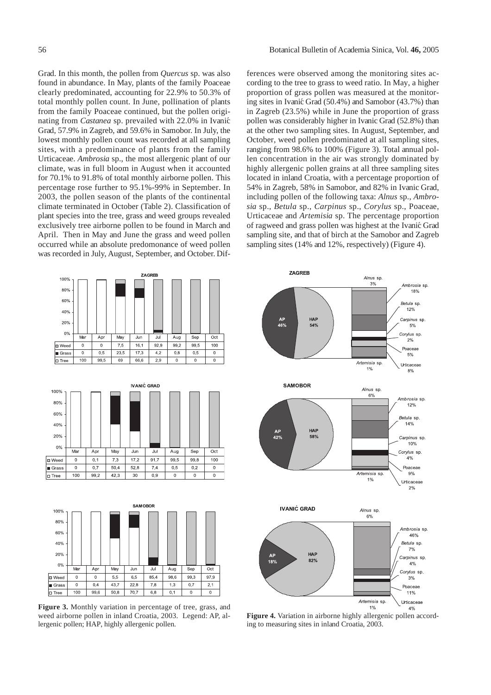Grad. In this month, the pollen from *Quercus* sp. was also found in abundance. In May, plants of the family Poaceae clearly predominated, accounting for 22.9% to 50.3% of total monthly pollen count. In June, pollination of plants from the family Poaceae continued, but the pollen originating from *Castanea* sp. prevailed with 22.0% in Ivanić Grad, 57.9% in Zagreb, and 59.6% in Samobor. In July, the lowest monthly pollen count was recorded at all sampling sites, with a predominance of plants from the family Urticaceae. *Ambrosia* sp., the most allergenic plant of our climate, was in full bloom in August when it accounted for 70.1% to 91.8% of total monthly airborne pollen. This percentage rose further to 95.1%-99% in September. In 2003, the pollen season of the plants of the continental climate terminated in October (Table 2). Classification of plant species into the tree, grass and weed groups revealed exclusively tree airborne pollen to be found in March and April. Then in May and June the grass and weed pollen occurred while an absolute predomonance of weed pollen was recorded in July, August, September, and October. Dif-

ferences were observed among the monitoring sites according to the tree to grass to weed ratio. In May, a higher proportion of grass pollen was measured at the monitoring sites in Ivanić Grad (50.4%) and Samobor (43.7%) than in Zagreb (23.5%) while in June the proportion of grass pollen was considerably higher in Ivanic Grad (52.8%) than at the other two sampling sites. In August, September, and October, weed pollen predominated at all sampling sites, ranging from 98.6% to 100% (Figure 3). Total annual pollen concentration in the air was strongly dominated by highly allergenic pollen grains at all three sampling sites located in inland Croatia, with a percentage proportion of 54% in Zagreb, 58% in Samobor, and 82% in Ivanic Grad, including pollen of the following taxa: *Alnus* sp., *Ambrosia* sp., *Betula* sp., *Carpinus* sp., *Corylus* sp., Poaceae, Urticaceae and *Artemisia* sp. The percentage proportion of ragweed and grass pollen was highest at the Ivanić Grad sampling site, and that of birch at the Samobor and Zagreb sampling sites (14% and 12%, respectively) (Figure 4).







**Figure 3.** Monthly variation in percentage of tree, grass, and weed airborne pollen in inland Croatia, 2003. Legend: AP, allergenic pollen; HAP, highly allergenic pollen.



**Figure 4.** Variation in airborne highly allergenic pollen according to measuring sites in inland Croatia, 2003.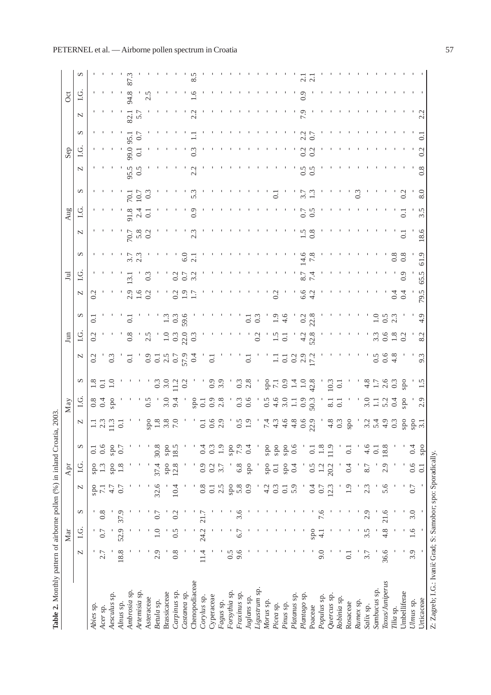| <b>Table 2.</b> Monthly pattern of airborne pollen (%) in inland Croat |                | Mar           |                |                  | Apr              |                    |                                           | May                |                           |                  | Jun                |                |                | $\Xi$                |                   |                      | Aug                         |                   |                    | Sep         |                   | Oct                                |              |   |
|------------------------------------------------------------------------|----------------|---------------|----------------|------------------|------------------|--------------------|-------------------------------------------|--------------------|---------------------------|------------------|--------------------|----------------|----------------|----------------------|-------------------|----------------------|-----------------------------|-------------------|--------------------|-------------|-------------------|------------------------------------|--------------|---|
|                                                                        | N              | LG.           | S              | N                | <u>U</u> G.      | S                  | N                                         | 1.G                | $\mathbf{\Omega}$         | N                | $C_{1}$            | ∽              | N              | LG                   | $\mathbf{\Omega}$ | N                    | LG                          | $\mathbf{\Omega}$ | N                  | $1 \cdot G$ | S                 | 1.6<br>N                           |              | ∽ |
| Abies sp.                                                              |                |               |                | ods              | ods              | $\overline{0}$ .   |                                           |                    |                           | 0.2              | 0.2                | $\overline{c}$ | 0.2            |                      |                   |                      |                             |                   |                    |             |                   |                                    |              |   |
| Acer sp.                                                               | 2.7            | 0.7           | 0.8            | $\overline{71}$  | 1.3              | 0.6                | $\frac{1}{2}$ $\frac{3}{4}$ $\frac{3}{4}$ | $rac{8}{0.4}$      | $\frac{1.8}{0.1}$         |                  |                    |                |                |                      |                   |                      |                             |                   |                    |             |                   |                                    |              |   |
| Aesculus sp.                                                           |                |               |                | 4.7              | ods              | ods                |                                           | ods                |                           | $0.\overline{3}$ |                    |                |                |                      |                   |                      |                             |                   |                    |             |                   |                                    |              |   |
| Alnus sp.                                                              | 18.8           | 52.9          | 37.9           | 0.7              | 1.8              | 0.7                | $\dot{\circ}$                             |                    |                           |                  |                    |                |                |                      |                   |                      |                             |                   |                    |             |                   |                                    |              |   |
| Ambrosia sp.                                                           |                |               |                |                  |                  |                    |                                           |                    |                           | $\overline{0}$   | $\frac{8}{2}$      | ਤ              |                | $\ddot{\phantom{1}}$ |                   |                      | 70.                         | 95.               |                    | 99,         | $\approx$         | 94.8                               |              |   |
| Artemisia sp.                                                          |                |               |                |                  |                  |                    |                                           |                    |                           |                  |                    |                |                |                      | 5.7<br>2.3        | $70.7$<br>5.8<br>0.2 | $\frac{8}{2}$ $\frac{4}{1}$ | ○                 |                    |             |                   |                                    |              |   |
| Asteraceae                                                             |                |               |                |                  |                  |                    | $_{\rm{sp}}$                              | 0.5                |                           |                  | $\frac{5}{2}$      |                |                |                      |                   |                      | 10.7                        |                   |                    |             |                   | 2.5                                |              |   |
| Betula sp.                                                             | 2.9            |               | $\overline{0}$ | 32.6             | 37.4             | 30.8               |                                           |                    |                           |                  |                    |                |                |                      |                   |                      |                             |                   |                    |             |                   |                                    |              |   |
| Brassicaceae                                                           |                |               |                |                  | $_{\rm{spo}}$    | ods                | 3.8                                       | 3.0                | $\frac{0.3}{0.0}$         |                  | $\Xi$              |                |                |                      |                   |                      |                             |                   |                    |             |                   |                                    |              |   |
| Carpinus sp.                                                           | $\frac{8}{2}$  | $\frac{5}{2}$ | 0.2            | 10.4             | 12.8             | 18.5               |                                           | $\ddot{9}$         |                           |                  | $\frac{0.7}{22.1}$ | $\ddot{\circ}$ |                |                      |                   |                      |                             |                   |                    |             |                   |                                    |              |   |
| Castanea sp.                                                           |                |               |                |                  |                  |                    |                                           |                    | $\frac{1}{2}$ 0.2         |                  |                    | 59.6           |                |                      | 6.0               |                      |                             |                   |                    |             |                   |                                    |              |   |
| Chenopodiaceae                                                         |                |               |                |                  |                  |                    |                                           | ods                |                           |                  | $\sum_{i=1}^{n}$   |                |                |                      |                   | 2.3                  |                             |                   | Ċ<br>$\mathcal{L}$ |             |                   |                                    | 9.           |   |
| Corylus sp.                                                            | 11.4           | 24.2          | 21.7           | $0.\overline{8}$ | 0.9              | 0.4                | $\ddot{\circ}$                            | $\overline{c}$     |                           |                  |                    |                |                |                      |                   |                      |                             |                   |                    |             |                   |                                    |              |   |
| Cyperaceae                                                             |                |               |                | 0.1              | 0.2              | ි                  | 0.6                                       | $\ddot{\circ}$     |                           | $\overline{c}$   |                    |                |                |                      |                   |                      |                             |                   |                    |             |                   |                                    |              |   |
| Fagus sp.                                                              |                |               |                | 2.5              | 3.7              | 1.9                |                                           | 2.8                | $\frac{0.9}{0.9}$         |                  |                    |                |                |                      |                   |                      |                             |                   |                    |             |                   |                                    |              |   |
| Forsythia sp.                                                          | 0.5            |               |                | ods              |                  | ods                |                                           |                    |                           |                  |                    |                |                |                      |                   |                      |                             |                   |                    |             |                   |                                    |              |   |
| Fraxinus sp.                                                           | 9.6            | ွ             | 3.6            | 5.8              | 6.8              | 7.9                | $\ddot{\circ}$                            | $\frac{3}{2}$      | $\frac{3}{2}$             |                  |                    |                |                |                      |                   |                      |                             |                   |                    |             |                   |                                    |              |   |
| Juglans sp.                                                            |                |               |                | 0.9              | $_{\rm{spo}}$    | 0.4                |                                           | 0.6                | 2.8                       | $\ddot{\circ}$   |                    | $\frac{1}{2}$  |                |                      |                   |                      |                             |                   |                    |             |                   |                                    |              |   |
| Ligustrum sp.                                                          |                |               |                |                  |                  |                    |                                           |                    |                           |                  | $\overline{0.2}$   |                |                |                      |                   |                      |                             |                   |                    |             |                   |                                    | л.           |   |
| Morus sp.                                                              |                |               |                | 4.2              | ods              | ods                | $\tilde{L}$                               |                    |                           |                  |                    |                |                |                      |                   |                      |                             |                   |                    |             |                   |                                    | $\mathbf{I}$ |   |
| Picea sp.                                                              |                |               |                | 0.3              | $\overline{0}$ . | $_{\rm{spo}}$      | $\frac{1}{4}$                             | $0.400$<br>$-1.1$  | $\frac{6}{11}$<br>0.9     |                  |                    |                | 0.2            |                      |                   |                      |                             | $\overline{0}$    |                    |             |                   |                                    |              |   |
| Pinus sp.                                                              |                |               |                | $\overline{0}$ . | spo              | ods                | $\ddot{ }$                                |                    |                           | $\ddot{\circ}$   | $\ddot{\circ}$     | $\ddot{4}$     |                |                      |                   |                      |                             |                   |                    |             |                   |                                    |              |   |
| Platanus sp.                                                           |                |               |                | 5.9              | 0.4              | 0.6                | $rac{8}{4}$                               |                    |                           |                  |                    |                |                |                      |                   |                      |                             |                   |                    |             |                   |                                    |              |   |
| Plantago sp.                                                           |                |               |                |                  |                  |                    | $0.6$<br>22.9                             | $\frac{0.9}{50.3}$ | $\frac{1}{4}$ - 0<br>42.8 | $0.29$<br>$0.92$ | 4.                 | $\ddot{\circ}$ | 6.6            |                      |                   | $\tilde{c}$          | ä                           |                   |                    |             | $\frac{2.7}{0.7}$ | $\overline{0.9}$<br>$\overline{6}$ |              |   |
| Poaceae                                                                |                | ods           |                | 0.4              | 0.5              | $\overline{\circ}$ |                                           |                    |                           |                  | 52.8               |                | $\ddot{ }$     |                      |                   | 0.8                  |                             |                   | $\ddot{\circ}$     |             |                   |                                    |              |   |
| Populus sp.                                                            | 9.0            | $\frac{1}{4}$ |                | 0.7              | 1.2              | $\frac{8}{1}$      |                                           |                    |                           |                  |                    |                |                |                      |                   |                      |                             |                   |                    |             |                   |                                    |              |   |
| Quercus sp.                                                            |                |               |                | 12.3             | 20.2             | 11.9               | 4.8                                       | $\overline{8}$     | 10.3                      |                  |                    |                |                |                      |                   |                      |                             |                   |                    |             |                   |                                    |              |   |
| Robinia sp.                                                            |                |               |                |                  |                  |                    | 0.3                                       | $\overline{c}$     | $\overline{c}$            |                  |                    |                |                |                      |                   |                      |                             |                   |                    |             |                   |                                    |              |   |
| Rosaceae                                                               | $\overline{0}$ |               |                | 1.9              | 0.4              | $\overline{\circ}$ | ods                                       |                    |                           |                  |                    |                |                |                      |                   |                      |                             |                   |                    |             |                   |                                    |              |   |
| Rumex sp.                                                              |                |               |                |                  |                  |                    |                                           |                    |                           |                  |                    |                |                |                      |                   |                      |                             |                   |                    |             |                   |                                    |              |   |
| Salix sp.                                                              | 3.7            | 3.5           | 2.9            | 2.3              | 8.7              | 4.6                | 3.2                                       | $\ddot{3}$ .0      | 4.8                       |                  |                    |                |                |                      |                   |                      |                             |                   |                    |             |                   |                                    |              |   |
| Sambucus sp.                                                           |                |               |                |                  |                  | $\overline{0}$ .   | $\overline{2}$                            |                    |                           | $\frac{5}{2}$    |                    |                |                |                      |                   |                      |                             |                   |                    |             |                   |                                    |              |   |
| Taxus/Juniperus                                                        | 36.6           | 4.8           | 21.6           | 5.6              | 2.9              | 18.8               | $\ddot{ }$                                | 5.2                | 2.6                       | $\ddot{\circ}$   |                    |                |                |                      |                   |                      |                             |                   |                    |             |                   |                                    |              |   |
| Tilia sp.                                                              |                |               |                |                  |                  |                    | $\frac{3}{2}$                             | 0.4                |                           | $rac{8}{4}$      |                    |                |                |                      |                   |                      |                             |                   |                    |             |                   |                                    |              |   |
| Umbelliferae                                                           |                |               |                |                  |                  |                    | ods                                       | ods                | ods                       |                  |                    |                | $\overline{6}$ |                      | $\frac{8}{3}$     |                      |                             |                   |                    |             |                   |                                    |              |   |
| Ulmus sp.                                                              | 3.9            | 1.6           | 3.0            | $0.7\,$          | 0.6              | 0.4                |                                           |                    |                           |                  |                    |                |                |                      |                   |                      |                             |                   |                    |             |                   |                                    |              |   |
| Urticaceae                                                             |                |               |                |                  | $\overline{0}$ . | ods                | spo<br>3.1                                | 0<br>$\mathbf{C}$  |                           | $\omega$<br>σ    | $\sim$<br>$\infty$ | $\circ$        | 79.            | 5<br>65              | ್ರಾ               | 8.6                  | ∞<br>N<br>3                 | Q                 | $\infty$<br>○      |             |                   | $\sim$                             |              |   |
| Z: Zagreb; I.G.: Ivanić Grad; S: Samobor; spo: Sporadically.           |                |               |                |                  |                  |                    |                                           |                    |                           |                  |                    |                |                |                      |                   |                      |                             |                   |                    |             |                   |                                    |              |   |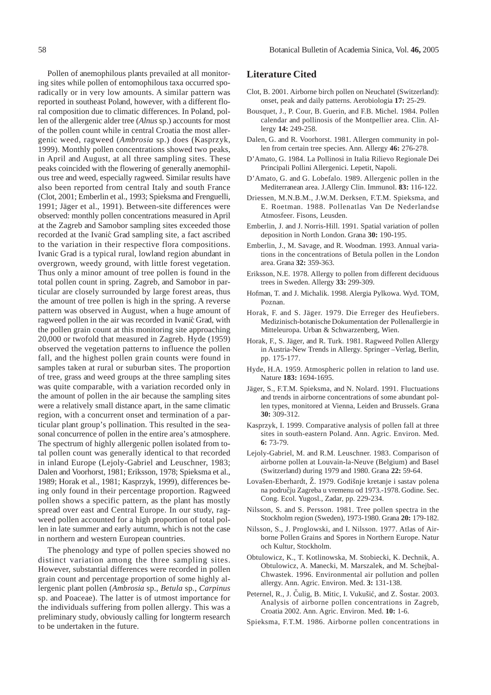Pollen of anemophilous plants prevailed at all monitoring sites while pollen of entomophilous taxa occurred sporadically or in very low amounts. A similar pattern was reported in southeast Poland, however, with a different floral composition due to climatic differences. In Poland, pollen of the allergenic alder tree (*Alnus* sp.) accounts for most of the pollen count while in central Croatia the most allergenic weed, ragweed (*Ambrosia* sp.) does (Kasprzyk, 1999). Monthly pollen concentrations showed two peaks, in April and August, at all three sampling sites. These peaks coincided with the flowering of generally anemophilous tree and weed, especially ragweed. Similar results have also been reported from central Italy and south France (Clot, 2001; Emberlin et al., 1993; Spieksma and Frenguelli, 1991; Jäger et al., 1991). Between-site differences were observed: monthly pollen concentrations measured in April at the Zagreb and Samobor sampling sites exceeded those recorded at the Ivanić Grad sampling site, a fact ascribed to the variation in their respective flora compositions. Ivanic Grad is a typical rural, lowland region abundant in overgrown, weedy ground, with little forest vegetation. Thus only a minor amount of tree pollen is found in the total pollen count in spring. Zagreb, and Samobor in particular are closely surrounded by large forest areas, thus the amount of tree pollen is high in the spring. A reverse pattern was observed in August, when a huge amount of ragweed pollen in the air was recorded in Ivanić Grad, with the pollen grain count at this monitoring site approaching 20,000 or twofold that measured in Zagreb. Hyde (1959) observed the vegetation patterns to influence the pollen fall, and the highest pollen grain counts were found in samples taken at rural or suburban sites. The proportion of tree, grass and weed groups at the three sampling sites was quite comparable, with a variation recorded only in the amount of pollen in the air because the sampling sites were a relatively small distance apart, in the same climatic region, with a concurrent onset and termination of a particular plant group's pollination. This resulted in the seasonal concurrence of pollen in the entire area's atmosphere. The spectrum of highly allergenic pollen isolated from total pollen count was generally identical to that recorded in inland Europe (Lejoly-Gabriel and Leuschner, 1983; Dalen and Voorhorst, 1981; Eriksson, 1978; Spieksma et al., 1989; Horak et al., 1981; Kasprzyk, 1999), differences being only found in their percentage proportion. Ragweed pollen shows a specific pattern, as the plant has mostly spread over east and Central Europe. In our study, ragweed pollen accounted for a high proportion of total pollen in late summer and early autumn, which is not the case in northern and western European countries.

The phenology and type of pollen species showed no distinct variation among the three sampling sites. However, substantial differences were recorded in pollen grain count and percentage proportion of some highly allergenic plant pollen (*Ambrosia* sp., *Betula* sp., *Carpinus* sp. and Poaceae). The latter is of utmost importance for the individuals suffering from pollen allergy. This was a preliminary study, obviously calling for longterm research to be undertaken in the future.

### **Literature Cited**

- Clot, B. 2001. Airborne birch pollen on Neuchatel (Switzerland): onset, peak and daily patterns. Aerobiologia **17:** 25-29.
- Bousquet, J., P. Cour, B. Guerin, and F.B. Michel. 1984. Pollen calendar and pollinosis of the Montpellier area. Clin. Allergy **14:** 249-258.
- Dalen, G. and R. Voorhorst. 1981. Allergen community in pollen from certain tree species. Ann. Allergy **46:** 276-278.
- D'Amato, G. 1984. La Pollinosi in Italia Rilievo Regionale Dei Principali Pollini Allergenici. Lepetit, Napoli.
- D'Amato, G. and G. Lobefalo. 1989. Allergenic pollen in the Mediterranean area. J.Allergy Clin. Immunol. **83:** 116-122.
- Driessen, M.N.B.M., J.W.M. Derksen, F.T.M. Spieksma, and E. Roetman. 1988. Pollenatlas Van De Nederlandse Atmosfeer. Fisons, Leusden.
- Emberlin, J. and J. Norris-Hill. 1991. Spatial variation of pollen deposition in North London. Grana **30:** 190-195.
- Emberlin, J., M. Savage, and R. Woodman. 1993. Annual variations in the concentrations of Betula pollen in the London area. Grana **32:** 359-363.
- Eriksson, N.E. 1978. Allergy to pollen from different deciduous trees in Sweden. Allergy **33:** 299-309.
- Hofman, T. and J. Michalik. 1998. Alergia Pylkowa. Wyd. TOM, Poznan.
- Horak, F. and S. Jäger. 1979. Die Erreger des Heufiebers. Medizinisch-botanische Dokumentation der Pollenallergie in Mitteleuropa. Urban & Schwarzenberg, Wien.
- Horak, F., S. Jäger, and R. Turk. 1981. Ragweed Pollen Allergy in Austria-New Trends in Allergy. Springer –Verlag, Berlin, pp. 175-177.
- Hyde, H.A. 1959. Atmospheric pollen in relation to land use. Nature **183:** 1694-1695.
- Jäger, S., F.T.M. Spieksma, and N. Nolard. 1991. Fluctuations and trends in airborne concentrations of some abundant pollen types, monitored at Vienna, Leiden and Brussels. Grana **30:** 309-312.
- Kasprzyk, I. 1999. Comparative analysis of pollen fall at three sites in south-eastern Poland. Ann. Agric. Environ. Med. **6:** 73-79.
- Lejoly-Gabriel, M. and R.M. Leuschner. 1983. Comparison of airborne pollen at Louvain-la-Neuve (Belgium) and Basel (Switzerland) during 1979 and 1980. Grana **22:** 59-64.
- Lovašen-Eberhardt, Ž. 1979. Godišnje kretanje i sastav polena na podrucju Zagreba u vremenu od 1973.-1978. Godine. Sec. Cong. Ecol. Yugosl., Zadar, pp. 229-234.
- Nilsson, S. and S. Persson. 1981. Tree pollen spectra in the Stockholm region (Sweden), 1973-1980. Grana **20:** 179-182.
- Nilsson, S., J. Proglowski, and I. Nilsson. 1977. Atlas of Airborne Pollen Grains and Spores in Northern Europe. Natur och Kultur, Stockholm.
- Obtulowicz, K., T. Kotlinowska, M. Stobiecki, K. Dechnik, A. Obtulowicz, A. Manecki, M. Marszalek, and M. Schejbal-Chwastek. 1996. Environmental air pollution and pollen allergy. Ann. Agric. Environ. Med. **3:** 131-138. ˆ
- Peternel, R., J. Čulig, B. Mitic, I. Vukušić, and Z. Šostar. 2003. Analysis of airborne pollen concentrations in Zagreb, Croatia 2002. Ann. Agric. Environ. Med. **10:** 1-6.
- Spieksma, F.T.M. 1986. Airborne pollen concentrations in